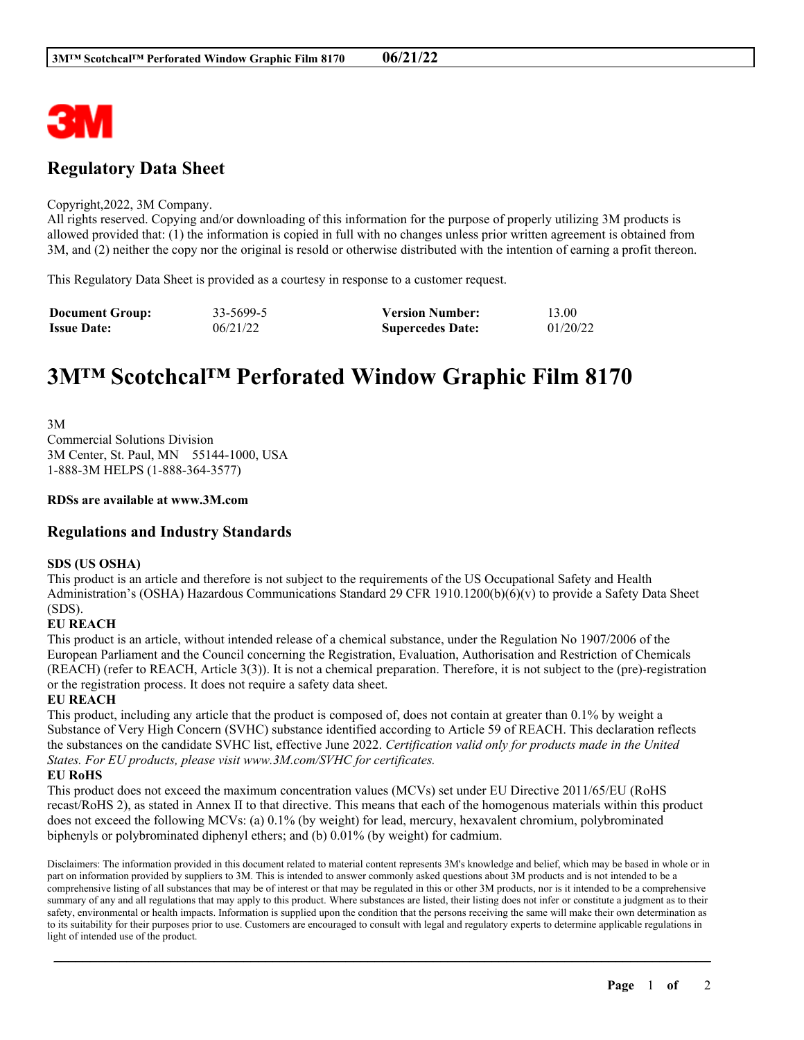

# **Regulatory Data Sheet**

#### Copyright,2022, 3M Company.

All rights reserved. Copying and/or downloading of this information for the purpose of properly utilizing 3M products is allowed provided that: (1) the information is copied in full with no changes unless prior written agreement is obtained from 3M, and (2) neither the copy nor the original is resold or otherwise distributed with the intention of earning a profit thereon.

This Regulatory Data Sheet is provided as a courtesy in response to a customer request.

| <b>Document Group:</b> | 33-5699-5 | <b>Version Number:</b>  | 13.00    |
|------------------------|-----------|-------------------------|----------|
| <b>Issue Date:</b>     | 06/21/22  | <b>Supercedes Date:</b> | 01/20/22 |

# **3M™ Scotchcal™ Perforated Window Graphic Film 8170**

3M Commercial Solutions Division 3M Center, St. Paul, MN 55144-1000, USA 1-888-3M HELPS (1-888-364-3577)

# **RDSs are available at www.3M.com**

# **Regulations and Industry Standards**

# **SDS (US OSHA)**

This product is an article and therefore is not subject to the requirements of the US Occupational Safety and Health Administration's (OSHA) Hazardous Communications Standard 29 CFR 1910.1200(b)(6)(v) to provide a Safety Data Sheet (SDS).

# **EU REACH**

This product is an article, without intended release of a chemical substance, under the Regulation No 1907/2006 of the European Parliament and the Council concerning the Registration, Evaluation, Authorisation and Restriction of Chemicals (REACH) (refer to REACH, Article 3(3)). It is not a chemical preparation. Therefore, it is not subject to the (pre)-registration or the registration process. It does not require a safety data sheet.

# **EU REACH**

This product, including any article that the product is composed of, does not contain at greater than 0.1% by weight a Substance of Very High Concern (SVHC) substance identified according to Article 59 of REACH. This declaration reflects the substances on the candidate SVHC list, effective June 2022. *Certification valid only for products made in the United States. For EU products, please visit www.3M.com/SVHC for certificates.*

# **EU RoHS**

This product does not exceed the maximum concentration values (MCVs) set under EU Directive 2011/65/EU (RoHS recast/RoHS 2), as stated in Annex II to that directive. This means that each of the homogenous materials within this product does not exceed the following MCVs: (a) 0.1% (by weight) for lead, mercury, hexavalent chromium, polybrominated biphenyls or polybrominated diphenyl ethers; and (b) 0.01% (by weight) for cadmium.

Disclaimers: The information provided in this document related to material content represents 3M's knowledge and belief, which may be based in whole or in part on information provided by suppliers to 3M. This is intended to answer commonly asked questions about 3M products and is not intended to be a comprehensive listing of all substances that may be of interest or that may be regulated in this or other 3M products, nor is it intended to be a comprehensive summary of any and all regulations that may apply to this product. Where substances are listed, their listing does not infer or constitute a judgment as to their safety, environmental or health impacts. Information is supplied upon the condition that the persons receiving the same will make their own determination as to its suitability for their purposes prior to use. Customers are encouraged to consult with legal and regulatory experts to determine applicable regulations in light of intended use of the product.

\_\_\_\_\_\_\_\_\_\_\_\_\_\_\_\_\_\_\_\_\_\_\_\_\_\_\_\_\_\_\_\_\_\_\_\_\_\_\_\_\_\_\_\_\_\_\_\_\_\_\_\_\_\_\_\_\_\_\_\_\_\_\_\_\_\_\_\_\_\_\_\_\_\_\_\_\_\_\_\_\_\_\_\_\_\_\_\_\_\_